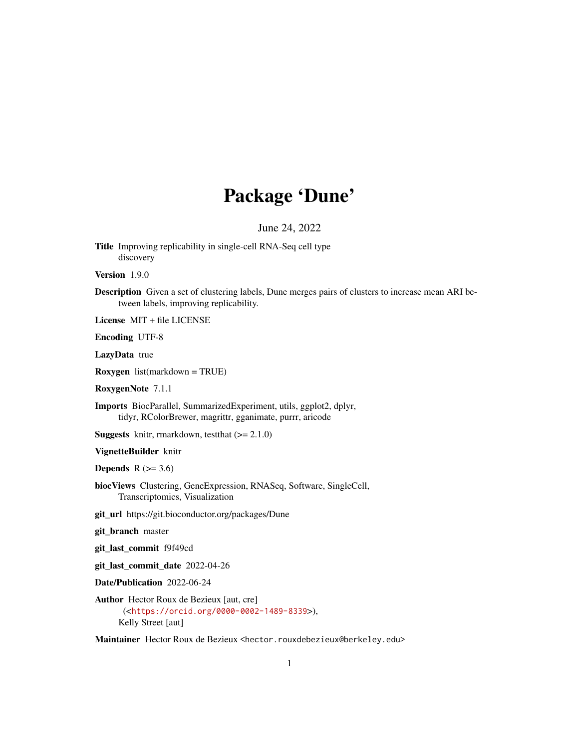# Package 'Dune'

June 24, 2022

<span id="page-0-0"></span>Title Improving replicability in single-cell RNA-Seq cell type discovery

Version 1.9.0

Description Given a set of clustering labels, Dune merges pairs of clusters to increase mean ARI between labels, improving replicability.

License MIT + file LICENSE

Encoding UTF-8

LazyData true

Roxygen list(markdown = TRUE)

RoxygenNote 7.1.1

Imports BiocParallel, SummarizedExperiment, utils, ggplot2, dplyr, tidyr, RColorBrewer, magrittr, gganimate, purrr, aricode

**Suggests** knitr, rmarkdown, test that  $(>= 2.1.0)$ 

VignetteBuilder knitr

Depends  $R$  ( $>= 3.6$ )

biocViews Clustering, GeneExpression, RNASeq, Software, SingleCell, Transcriptomics, Visualization

git\_url https://git.bioconductor.org/packages/Dune

git\_branch master

git\_last\_commit f9f49cd

git\_last\_commit\_date 2022-04-26

Date/Publication 2022-06-24

Author Hector Roux de Bezieux [aut, cre] (<<https://orcid.org/0000-0002-1489-8339>>), Kelly Street [aut]

Maintainer Hector Roux de Bezieux <hector.rouxdebezieux@berkeley.edu>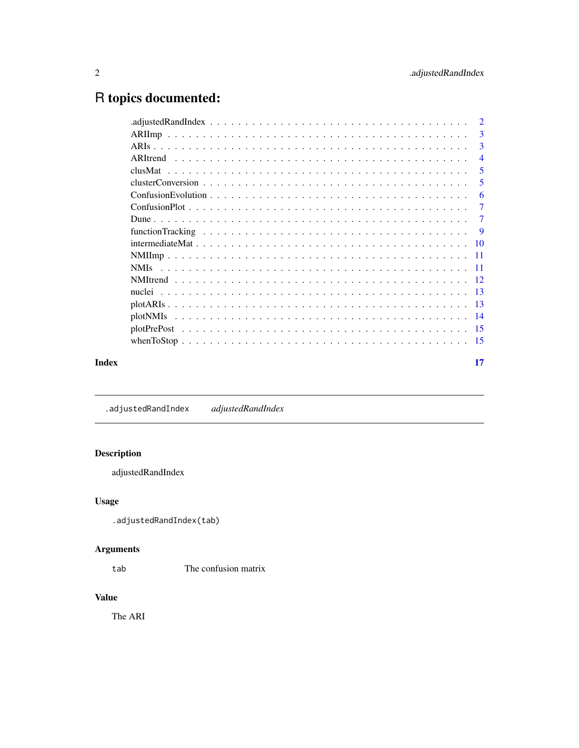# <span id="page-1-0"></span>R topics documented:

|       |             | -3             |
|-------|-------------|----------------|
|       |             | $\overline{4}$ |
|       |             | 5              |
|       |             | 5              |
|       |             | -6             |
|       |             | 7              |
|       |             | 7              |
|       |             | 9              |
|       |             |                |
|       |             |                |
|       | <b>NMIs</b> |                |
|       |             |                |
|       |             |                |
|       |             |                |
|       |             |                |
|       |             |                |
|       |             |                |
| Index |             | 17             |

.adjustedRandIndex *adjustedRandIndex*

# Description

adjustedRandIndex

# Usage

```
.adjustedRandIndex(tab)
```
# Arguments

tab The confusion matrix

# Value

The ARI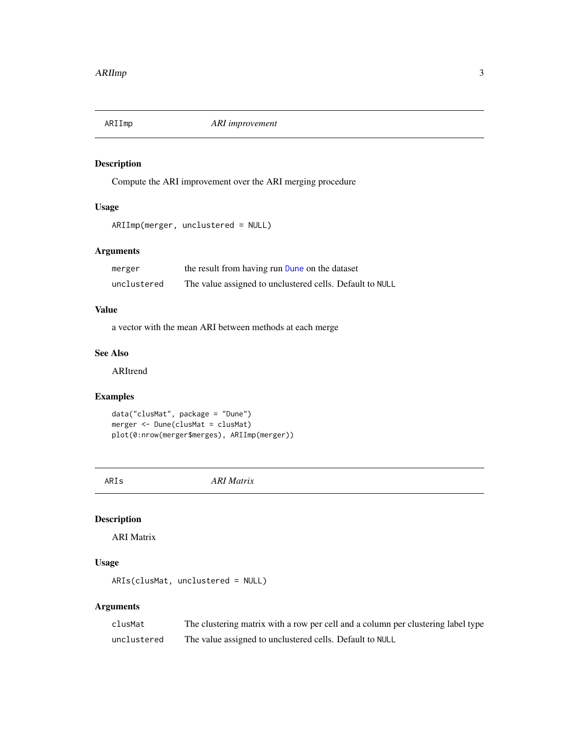<span id="page-2-0"></span>

Compute the ARI improvement over the ARI merging procedure

# Usage

```
ARIImp(merger, unclustered = NULL)
```
# Arguments

| merger      | the result from having run Dune on the dataset           |
|-------------|----------------------------------------------------------|
| unclustered | The value assigned to unclustered cells. Default to NULL |

#### Value

a vector with the mean ARI between methods at each merge

# See Also

ARItrend

# Examples

```
data("clusMat", package = "Dune")
merger <- Dune(clusMat = clusMat)
plot(0:nrow(merger$merges), ARIImp(merger))
```
ARIs *ARI Matrix*

# Description

ARI Matrix

# Usage

```
ARIs(clusMat, unclustered = NULL)
```

| clusMat     | The clustering matrix with a row per cell and a column per clustering label type |
|-------------|----------------------------------------------------------------------------------|
| unclustered | The value assigned to unclustered cells. Default to NULL                         |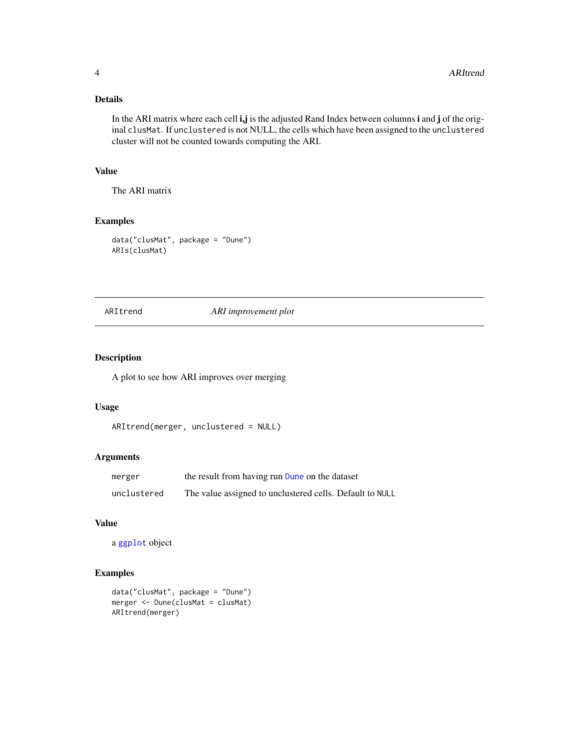# <span id="page-3-0"></span>Details

In the ARI matrix where each cell i,j is the adjusted Rand Index between columns i and j of the original clusMat. If unclustered is not NULL, the cells which have been assigned to the unclustered cluster will not be counted towards computing the ARI.

# Value

The ARI matrix

#### Examples

```
data("clusMat", package = "Dune")
ARIs(clusMat)
```
# ARItrend *ARI improvement plot*

# Description

A plot to see how ARI improves over merging

#### Usage

```
ARItrend(merger, unclustered = NULL)
```
# Arguments

| merger      | the result from having run Dune on the dataset           |
|-------------|----------------------------------------------------------|
| unclustered | The value assigned to unclustered cells. Default to NULL |

# Value

```
a ggplot object
```

```
data("clusMat", package = "Dune")
merger <- Dune(clusMat = clusMat)
ARItrend(merger)
```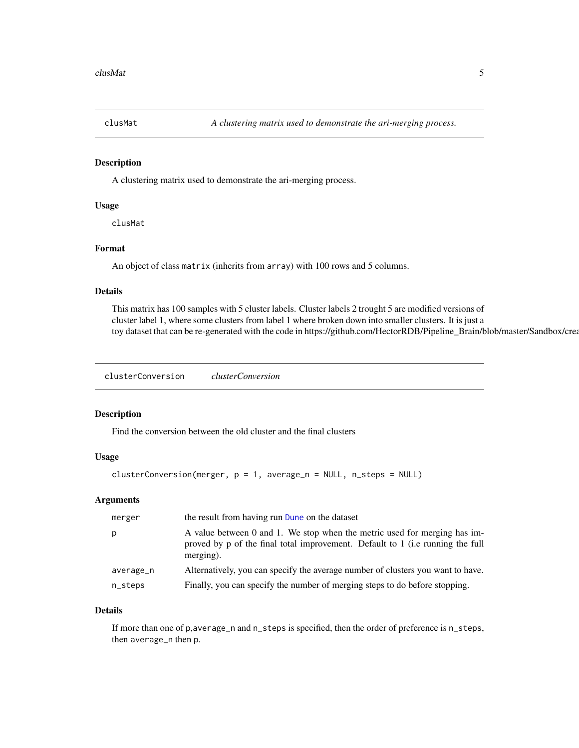<span id="page-4-0"></span>

A clustering matrix used to demonstrate the ari-merging process.

#### Usage

clusMat

# Format

An object of class matrix (inherits from array) with 100 rows and 5 columns.

#### Details

This matrix has 100 samples with 5 cluster labels. Cluster labels 2 trought 5 are modified versions of cluster label 1, where some clusters from label 1 where broken down into smaller clusters. It is just a toy dataset that can be re-generated with the code in https://github.com/HectorRDB/Pipeline\_Brain/blob/master/Sandbox/crea

clusterConversion *clusterConversion*

#### Description

Find the conversion between the old cluster and the final clusters

#### Usage

```
clusterConversion(merger, p = 1, average_n = NULL, n_steps = NULL)
```
#### Arguments

| merger    | the result from having run Dune on the dataset                                                                                                                           |
|-----------|--------------------------------------------------------------------------------------------------------------------------------------------------------------------------|
| p         | A value between 0 and 1. We stop when the metric used for merging has im-<br>proved by p of the final total improvement. Default to 1 (i.e running the full<br>merging). |
| average_n | Alternatively, you can specify the average number of clusters you want to have.                                                                                          |
| n_steps   | Finally, you can specify the number of merging steps to do before stopping.                                                                                              |

#### Details

If more than one of p,average\_n and n\_steps is specified, then the order of preference is n\_steps, then average\_n then p.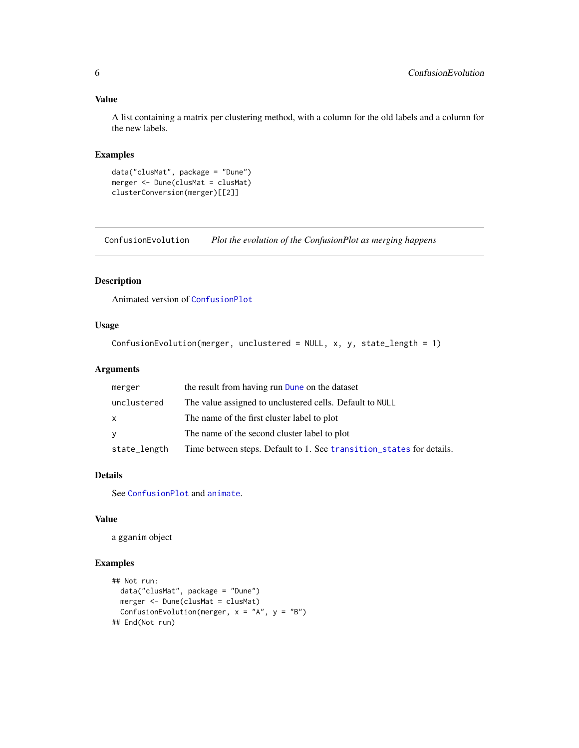#### <span id="page-5-0"></span>Value

A list containing a matrix per clustering method, with a column for the old labels and a column for the new labels.

#### Examples

```
data("clusMat", package = "Dune")
merger <- Dune(clusMat = clusMat)
clusterConversion(merger)[[2]]
```
ConfusionEvolution *Plot the evolution of the ConfusionPlot as merging happens*

#### Description

Animated version of [ConfusionPlot](#page-6-2)

#### Usage

```
ConfusionEvolution(merger, unclustered = NULL, x, y, state_length = 1)
```
#### Arguments

| merger       | the result from having run Dune on the dataset                       |
|--------------|----------------------------------------------------------------------|
| unclustered  | The value assigned to unclustered cells. Default to NULL             |
| X            | The name of the first cluster label to plot                          |
| V            | The name of the second cluster label to plot                         |
| state_length | Time between steps. Default to 1. See transition_states for details. |

# Details

See [ConfusionPlot](#page-6-2) and [animate](#page-0-0).

#### Value

a gganim object

```
## Not run:
 data("clusMat", package = "Dune")
 merger <- Dune(clusMat = clusMat)
 ConfusionEvolution(merger, x = "A", y = "B")## End(Not run)
```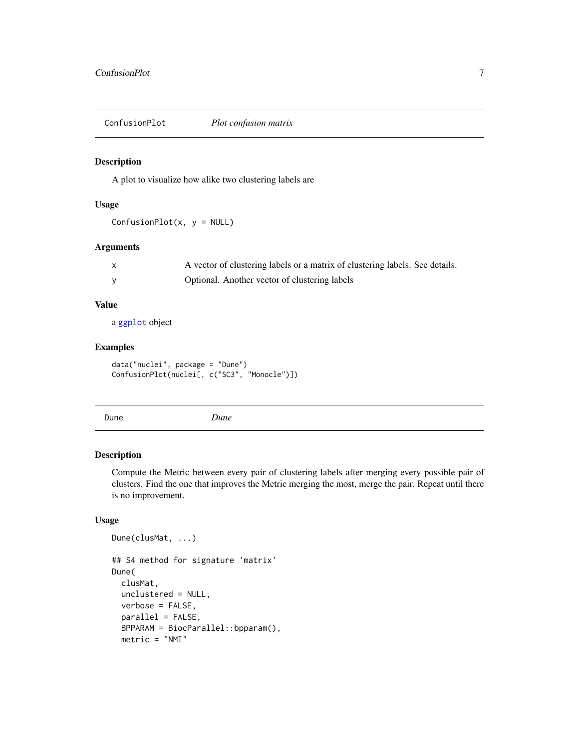<span id="page-6-2"></span><span id="page-6-0"></span>ConfusionPlot *Plot confusion matrix*

#### Description

A plot to visualize how alike two clustering labels are

#### Usage

 $ConfusionPlot(x, y = NULL)$ 

#### Arguments

| A vector of clustering labels or a matrix of clustering labels. See details. |
|------------------------------------------------------------------------------|
| Optional. Another vector of clustering labels                                |

# Value

a [ggplot](#page-0-0) object

#### Examples

```
data("nuclei", package = "Dune")
ConfusionPlot(nuclei[, c("SC3", "Monocle")])
```
<span id="page-6-1"></span>

Dune *Dune*

#### Description

Compute the Metric between every pair of clustering labels after merging every possible pair of clusters. Find the one that improves the Metric merging the most, merge the pair. Repeat until there is no improvement.

#### Usage

```
Dune(clusMat, ...)
## S4 method for signature 'matrix'
Dune(
 clusMat,
 unclustered = NULL,
 verbose = FALSE,
 parallel = FALSE,
 BPPARAM = BiocParallel::bpparam(),
 metric = "NMI"
```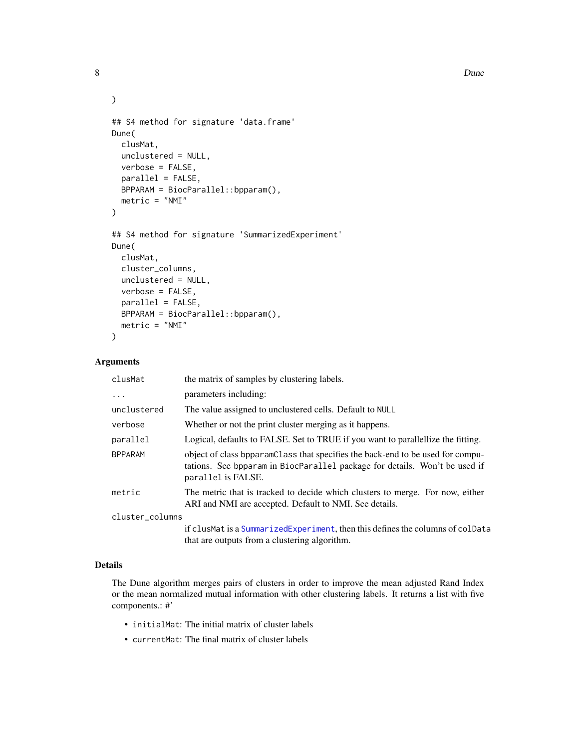#### 8 Dune

```
## S4 method for signature 'data.frame'
Dune(
  clusMat,
 unclustered = NULL,
 verbose = FALSE,
 parallel = FALSE,
 BPPARAM = BiocParallel::bpparam(),
 metric = "NMI"
\mathcal{L}## S4 method for signature 'SummarizedExperiment'
Dune(
 clusMat,
  cluster_columns,
  unclustered = NULL,
  verbose = FALSE,
 parallel = FALSE,
 BPPARAM = BiocParallel::bpparam(),
 metric = "NMI"
\mathcal{L}
```
#### Arguments

| clusMat         | the matrix of samples by clustering labels.                                                                                                                                        |
|-----------------|------------------------------------------------------------------------------------------------------------------------------------------------------------------------------------|
| $\ddots$        | parameters including:                                                                                                                                                              |
| unclustered     | The value assigned to unclustered cells. Default to NULL                                                                                                                           |
| verbose         | Whether or not the print cluster merging as it happens.                                                                                                                            |
| parallel        | Logical, defaults to FALSE. Set to TRUE if you want to parallellize the fitting.                                                                                                   |
| <b>BPPARAM</b>  | object of class begame class that specifies the back-end to be used for compu-<br>tations. See bpparam in BiocParallel package for details. Won't be used if<br>parallel is FALSE. |
| metric          | The metric that is tracked to decide which clusters to merge. For now, either<br>ARI and NMI are accepted. Default to NMI. See details.                                            |
| cluster_columns |                                                                                                                                                                                    |
|                 | if clusMat is a Summarized Experiment, then this defines the columns of coldata<br>that are outputs from a clustering algorithm.                                                   |

#### Details

The Dune algorithm merges pairs of clusters in order to improve the mean adjusted Rand Index or the mean normalized mutual information with other clustering labels. It returns a list with five components.: #'

- initialMat: The initial matrix of cluster labels
- currentMat: The final matrix of cluster labels

<span id="page-7-0"></span>

 $\mathcal{L}$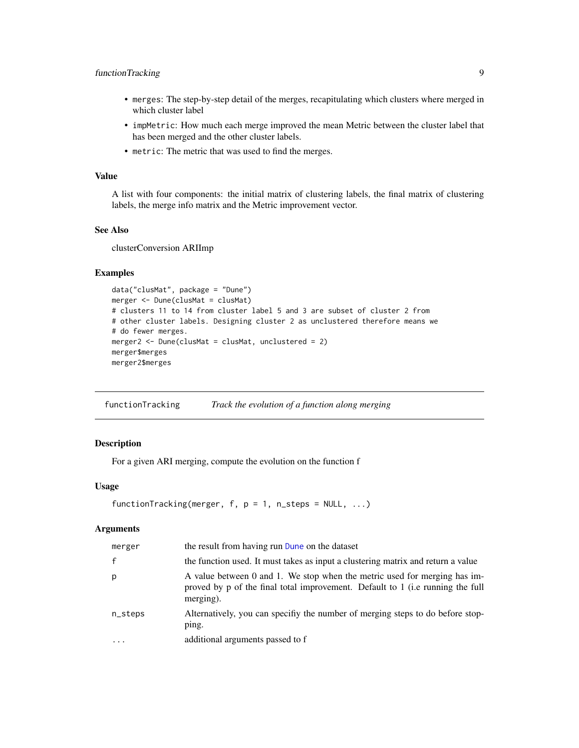### <span id="page-8-0"></span>functionTracking 9

- merges: The step-by-step detail of the merges, recapitulating which clusters where merged in which cluster label
- impMetric: How much each merge improved the mean Metric between the cluster label that has been merged and the other cluster labels.
- metric: The metric that was used to find the merges.

#### Value

A list with four components: the initial matrix of clustering labels, the final matrix of clustering labels, the merge info matrix and the Metric improvement vector.

#### See Also

clusterConversion ARIImp

#### Examples

```
data("clusMat", package = "Dune")
merger <- Dune(clusMat = clusMat)
# clusters 11 to 14 from cluster label 5 and 3 are subset of cluster 2 from
# other cluster labels. Designing cluster 2 as unclustered therefore means we
# do fewer merges.
merger2 <- Dune(clusMat = clusMat, unclustered = 2)
merger$merges
merger2$merges
```
functionTracking *Track the evolution of a function along merging*

#### Description

For a given ARI merging, compute the evolution on the function f

#### Usage

```
functionTracking(merger, f, p = 1, n_steps = NULL, ...)
```

| merger       | the result from having run Dune on the dataset                                                                                                                           |
|--------------|--------------------------------------------------------------------------------------------------------------------------------------------------------------------------|
| $\mathbf{f}$ | the function used. It must takes as input a clustering matrix and return a value                                                                                         |
| p            | A value between 0 and 1. We stop when the metric used for merging has im-<br>proved by p of the final total improvement. Default to 1 (i.e running the full<br>merging). |
| n_steps      | Alternatively, you can specify the number of merging steps to do before stop-<br>ping.                                                                                   |
|              | additional arguments passed to f                                                                                                                                         |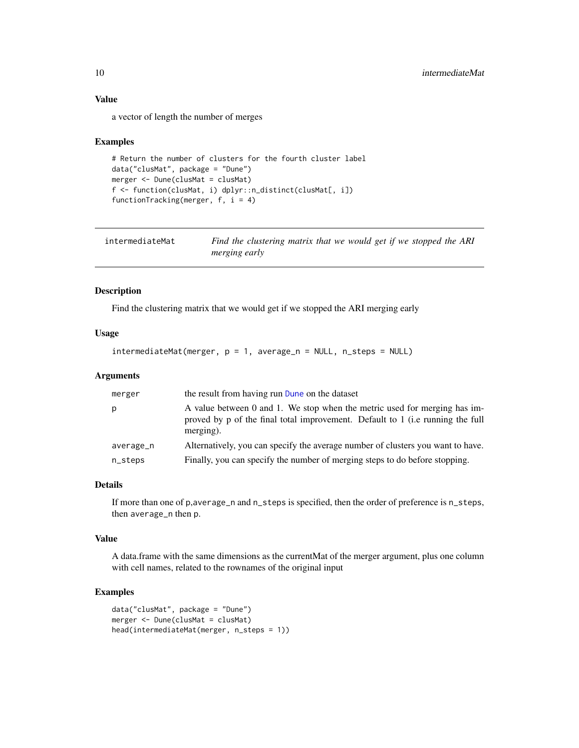#### Value

a vector of length the number of merges

#### Examples

```
# Return the number of clusters for the fourth cluster label
data("clusMat", package = "Dune")
merger <- Dune(clusMat = clusMat)
f <- function(clusMat, i) dplyr::n_distinct(clusMat[, i])
functionTracking(merger, f, i = 4)
```

| intermediateMat | Find the clustering matrix that we would get if we stopped the ARI |
|-----------------|--------------------------------------------------------------------|
|                 | <i>merging early</i>                                               |

# Description

Find the clustering matrix that we would get if we stopped the ARI merging early

#### Usage

```
intermediateMat(merger, p = 1, average_n = NULL, n_steps = NULL)
```
#### Arguments

| merger    | the result from having run Dune on the dataset                                                                                                                           |
|-----------|--------------------------------------------------------------------------------------------------------------------------------------------------------------------------|
| p         | A value between 0 and 1. We stop when the metric used for merging has im-<br>proved by p of the final total improvement. Default to 1 (i.e running the full<br>merging). |
| average_n | Alternatively, you can specify the average number of clusters you want to have.                                                                                          |
| n_steps   | Finally, you can specify the number of merging steps to do before stopping.                                                                                              |

#### Details

If more than one of p,average\_n and n\_steps is specified, then the order of preference is n\_steps, then average\_n then p.

#### Value

A data.frame with the same dimensions as the currentMat of the merger argument, plus one column with cell names, related to the rownames of the original input

```
data("clusMat", package = "Dune")
merger <- Dune(clusMat = clusMat)
head(intermediateMat(merger, n_steps = 1))
```
<span id="page-9-0"></span>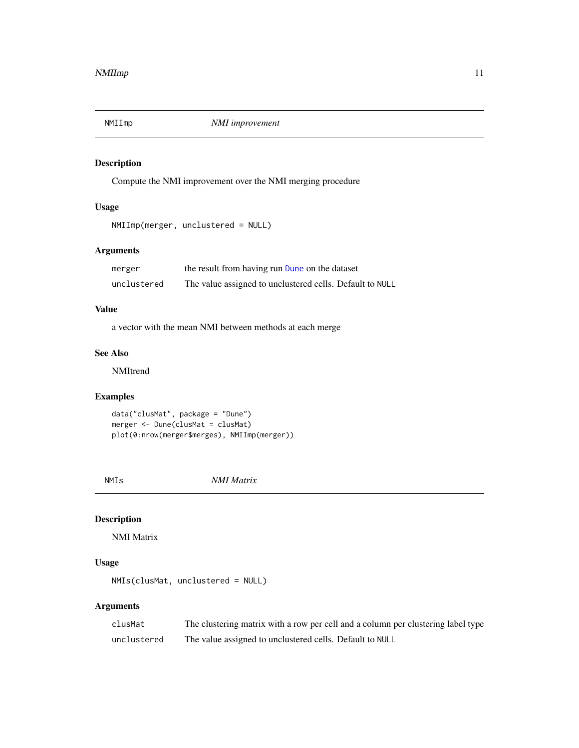<span id="page-10-0"></span>

Compute the NMI improvement over the NMI merging procedure

# Usage

```
NMIImp(merger, unclustered = NULL)
```
# Arguments

| merger      | the result from having run Dune on the dataset           |
|-------------|----------------------------------------------------------|
| unclustered | The value assigned to unclustered cells. Default to NULL |

#### Value

a vector with the mean NMI between methods at each merge

# See Also

NMItrend

#### Examples

```
data("clusMat", package = "Dune")
merger <- Dune(clusMat = clusMat)
plot(0:nrow(merger$merges), NMIImp(merger))
```
NMIs *NMI Matrix*

# Description

NMI Matrix

# Usage

```
NMIs(clusMat, unclustered = NULL)
```

| clusMat     | The clustering matrix with a row per cell and a column per clustering label type |
|-------------|----------------------------------------------------------------------------------|
| unclustered | The value assigned to unclustered cells. Default to NULL                         |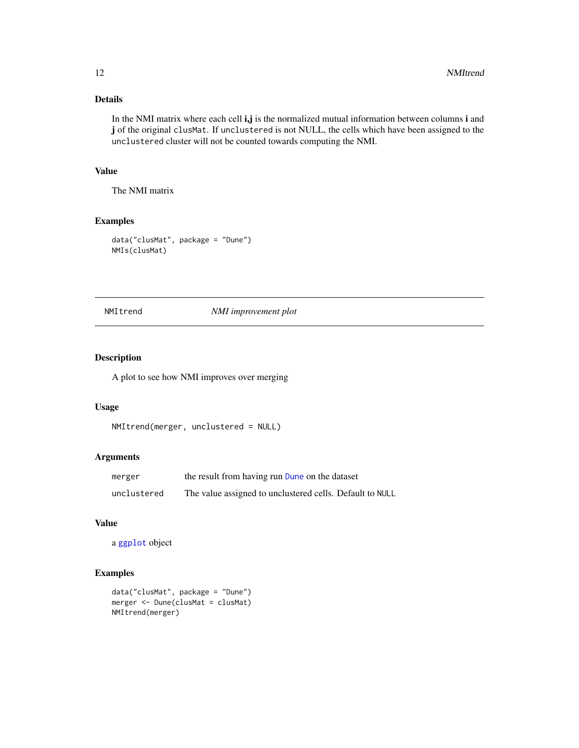# Details

In the NMI matrix where each cell i,j is the normalized mutual information between columns i and j of the original clusMat. If unclustered is not NULL, the cells which have been assigned to the unclustered cluster will not be counted towards computing the NMI.

# Value

The NMI matrix

# Examples

```
data("clusMat", package = "Dune")
NMIs(clusMat)
```
#### NMItrend *NMI improvement plot*

# Description

A plot to see how NMI improves over merging

#### Usage

```
NMItrend(merger, unclustered = NULL)
```
# Arguments

| merger      | the result from having run Dune on the dataset           |
|-------------|----------------------------------------------------------|
| unclustered | The value assigned to unclustered cells. Default to NULL |

# Value

```
a ggplot object
```

```
data("clusMat", package = "Dune")
merger <- Dune(clusMat = clusMat)
NMItrend(merger)
```
<span id="page-11-0"></span>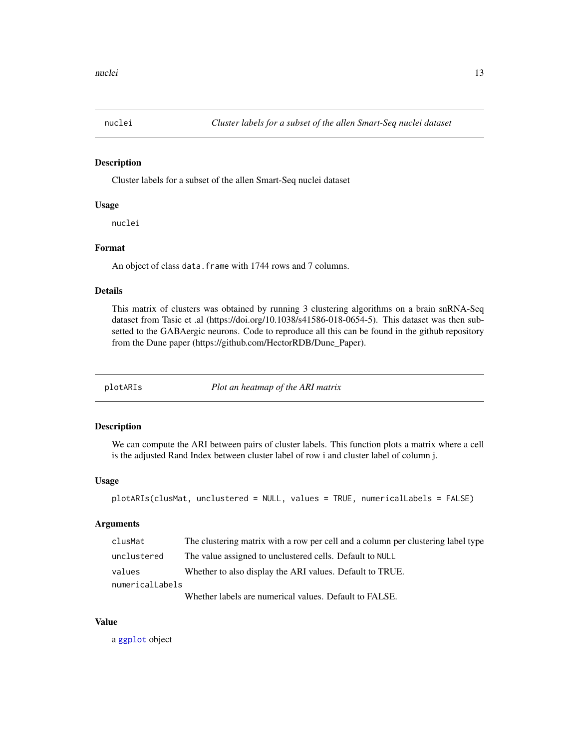<span id="page-12-0"></span>

Cluster labels for a subset of the allen Smart-Seq nuclei dataset

#### Usage

nuclei

#### Format

An object of class data. frame with 1744 rows and 7 columns.

#### Details

This matrix of clusters was obtained by running 3 clustering algorithms on a brain snRNA-Seq dataset from Tasic et .al (https://doi.org/10.1038/s41586-018-0654-5). This dataset was then subsetted to the GABAergic neurons. Code to reproduce all this can be found in the github repository from the Dune paper (https://github.com/HectorRDB/Dune\_Paper).

plotARIs *Plot an heatmap of the ARI matrix*

## Description

We can compute the ARI between pairs of cluster labels. This function plots a matrix where a cell is the adjusted Rand Index between cluster label of row i and cluster label of column j.

#### Usage

```
plotARIs(clusMat, unclustered = NULL, values = TRUE, numericalLabels = FALSE)
```
# Arguments

| clusMat         | The clustering matrix with a row per cell and a column per clustering label type |  |
|-----------------|----------------------------------------------------------------------------------|--|
| unclustered     | The value assigned to unclustered cells. Default to NULL                         |  |
| values          | Whether to also display the ARI values. Default to TRUE.                         |  |
| numericalLabels |                                                                                  |  |
|                 | Whathar labels are numerical volume. Default to EAI CE                           |  |

Whether labels are numerical values. Default to FALSE.

# Value

a [ggplot](#page-0-0) object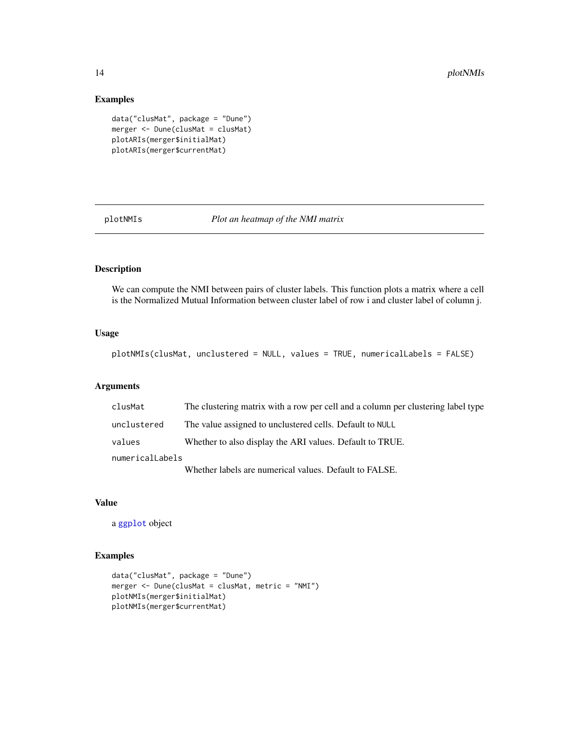### Examples

```
data("clusMat", package = "Dune")
merger <- Dune(clusMat = clusMat)
plotARIs(merger$initialMat)
plotARIs(merger$currentMat)
```
plotNMIs *Plot an heatmap of the NMI matrix*

#### Description

We can compute the NMI between pairs of cluster labels. This function plots a matrix where a cell is the Normalized Mutual Information between cluster label of row i and cluster label of column j.

## Usage

```
plotNMIs(clusMat, unclustered = NULL, values = TRUE, numericalLabels = FALSE)
```
#### Arguments

| clusMat         | The clustering matrix with a row per cell and a column per clustering label type |  |
|-----------------|----------------------------------------------------------------------------------|--|
| unclustered     | The value assigned to unclustered cells. Default to NULL                         |  |
| values          | Whether to also display the ARI values. Default to TRUE.                         |  |
| numericalLabels |                                                                                  |  |
|                 | Whether labels are numerical values. Default to FALSE.                           |  |

#### Value

a [ggplot](#page-0-0) object

```
data("clusMat", package = "Dune")
merger <- Dune(clusMat = clusMat, metric = "NMI")
plotNMIs(merger$initialMat)
plotNMIs(merger$currentMat)
```
<span id="page-13-0"></span>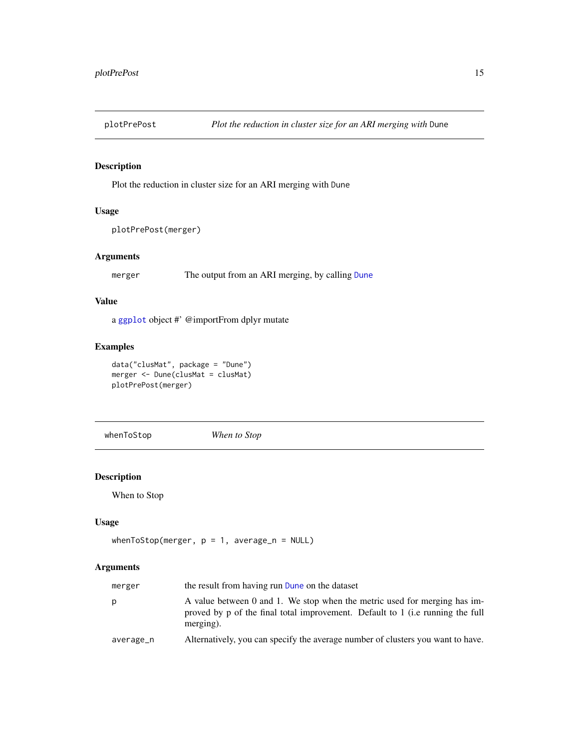<span id="page-14-0"></span>

Plot the reduction in cluster size for an ARI merging with Dune

#### Usage

```
plotPrePost(merger)
```
# Arguments

merger The output from an ARI merging, by calling [Dune](#page-6-1)

# Value

a [ggplot](#page-0-0) object #' @importFrom dplyr mutate

# Examples

data("clusMat", package = "Dune") merger <- Dune(clusMat = clusMat) plotPrePost(merger)

whenToStop *When to Stop*

# Description

When to Stop

# Usage

```
whenToStop(merger, p = 1, average_n = NULL)
```

| merger    | the result from having run Dune on the dataset                                                                                                                           |
|-----------|--------------------------------------------------------------------------------------------------------------------------------------------------------------------------|
| p         | A value between 0 and 1. We stop when the metric used for merging has im-<br>proved by p of the final total improvement. Default to 1 (i.e running the full<br>merging). |
| average_n | Alternatively, you can specify the average number of clusters you want to have.                                                                                          |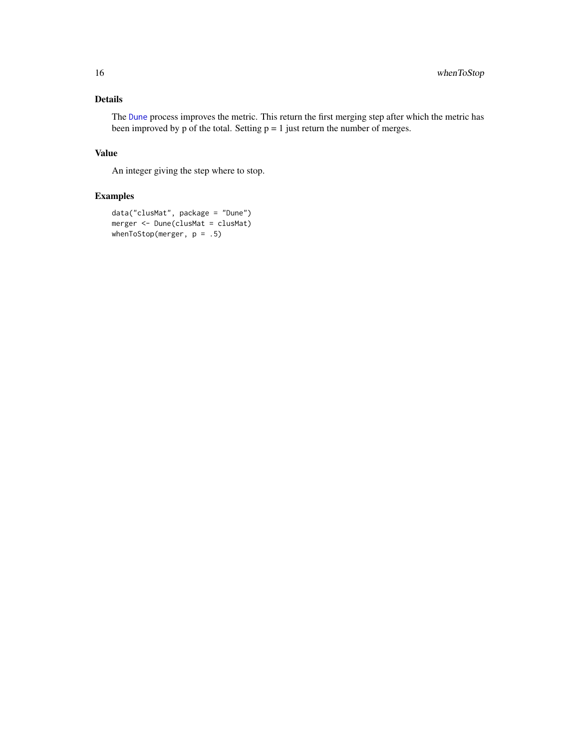# <span id="page-15-0"></span>Details

The [Dune](#page-6-1) process improves the metric. This return the first merging step after which the metric has been improved by p of the total. Setting  $p = 1$  just return the number of merges.

# Value

An integer giving the step where to stop.

```
data("clusMat", package = "Dune")
merger <- Dune(clusMat = clusMat)
whenToStop(merger, p = .5)
```